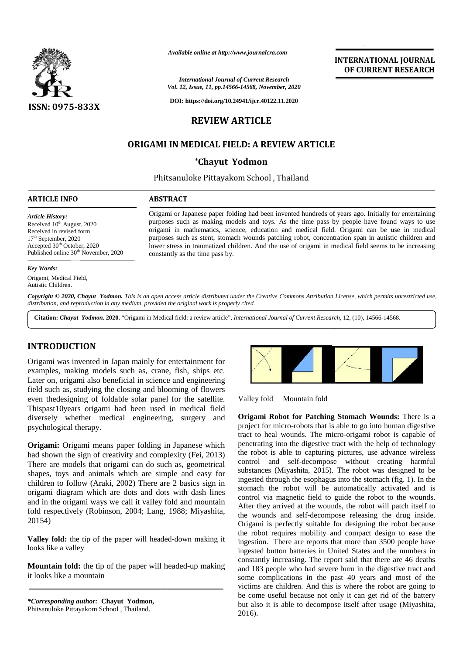

*Available online at http://www.journalcra.com*

*International Journal of Current Research Vol. 12, Issue, 11, pp.14566-14568, November, 2020*

**DOI: https://doi.org/10.24941/ijcr.40122.11.2020**

# **REVIEW ARTICLE**

# **ORIGAMI IN MEDICAL FIELD: A REVIEW ARTICLE FIELD: A**

## **\*Chayut Yodmon**

Phitsanuloke Pittayakom School , Thailand Phitsanuloke Pittayakom

#### **ARTICLE INFO ABSTRACT ARTICLE ABSTRACT**

*Article History:*

Received  $10^{th}$  August, 2020 Received in revised form Received in revised form<br>17<sup>th</sup> September, 2020 Accepted 30<sup>th</sup> October, 2020 Accepted 30<sup>th</sup> October, 2020<br>Published online 30<sup>th</sup> November, 2020

Origami or Japanese paper folding had been invented hundreds of years ago. Initially for entertaining purposes such as making models and toys. As the time pass by people have found ways to use origami in mathematics, science, education and medical field. Origami can be use in medical purposes such as stent, stomach wounds patching robot, concentration span in autistic children and lower stress in traumatized children. And the use of origami in medical field seems to be increasing constantly as the time pass by. Origami or Japanese paper folding had been invented hundreds of years ago. Initially for entertaining purposes such as making models and toys. As the time pass by people have found ways to use origami in mathematics, scien *Awaliable online at http://www.journalcra.com*<br>
2020.<br>
2020.<br>
2020.<br>
2020.<br>
2020.<br>
2020.<br>
2020.<br>
2020.<br>
2020.<br>
2020.<br>
2020.<br>
2020.<br>
2020.<br>
2020.<br>
2020.<br>
2020.<br>
2020.<br>
2020.<br>
2020.<br>
2020.<br>
2020.<br>
2020.<br>
2020.<br>
2020.<br>
2020.

#### *Key Words:*

Origami, Medical Field, Autistic Children.

Copyright © 2020, Chayut Yodmon. This is an open access article distributed under the Creative Commons Attribution License, which permits unrestricted use, *distribution, and reproduction in any medium, provided the original work is properly cited. distribution,any*

**Citation:** *Chayut Yodmon.* **2020.** "Origami in Medical field: a review article", *International Journal of Current Research*, 12, (10), 14566-14568.

## **INTRODUCTION INTRODUCTION**

Origami was invented in Japan mainly for entertainment for examples, making models such as, crane, fish, ships etc. Later on, origami also beneficial in science and engineering field such as, studying the closing and blooming of flowers even thedesigning of foldable solar panel for the satellite. Thispast10years origami had been used in medical field diversely whether medical engineering, surgery and psychological therapy. Origami was invented in Japan mainly for entertainment for<br>examples, making models such as, crane, fish, ships etc.<br>Later on, origami also beneficial in science and engineering<br>field such as, studying the closing and bloom even thedesigning of foldable solar panel for the satellite.<br>Thispast10years origami had been used in medical field<br>diversely whether medical engineering, surgery and<br>psychological therapy.

**Origami:** Origami means paper folding in Japanese which had shown the sign of creativity and complexity (Fei, 2013) There are models that origami can do such as, geometrical shapes, toys and animals which are simple and easy for children to follow (Araki, 2002) There are 2 basics sign in origami diagram which are dots and dots with dash lines and in the origami ways we call it valley fold and mountain fold respectively (Robinson, 2004; Lang, 1988; Miyashita, 20154) **Origami:** Origami means paper folding in Japanese which had shown the sign of creativity and complexity (Fei, 2013) There are models that origami can do such as, geometrical shapes, toys and animals which are simple and e International Journ<br>
Vol. 12, Issue, 11, pp.14:<br>
DOI: https://doi.org/10<br>
DOI: https://doi.org/10<br>
DORIGAMI IN MEDICAL FI<br>
Chayut<br>
Phitsanuloke Pittayal<br>
Phitsanuloke Pittayal<br>
Phitsanuloke Pittayal<br>
Phitsanuloke Pittayal<br>

**Valley fold:** the tip of the paper will headed-down making it looks like a valley looks like a valley

**Mountain fold:** the tip of the paper will headed-up making and 1 it looks like a mountain it looks like a mountain





**INTERNATIONAL JOURNAL OF CURRENT RESEARCH**

Mountain fold

**Origami Robot for Patching Stomach Wounds:** There is a project for micro-robots that is able to go into human digestive tract to heal wounds. The micro-origami robot is capable of penetrating into the digestive tract with the help of technology the robot is able to capturing pictures, use advance wireless control and self-decompose without creating harmful substances (Miyashita, 2015). The robot was designed to be ingested through the esophagus into the stomach (fig. 1). In the stomach the robot will be automatically activated and is control via magnetic field to guide the robot to the wounds. After they arrived at the wounds, the robot will patch itself to the wounds and self-decompose releasing the drug inside. Origami is perfectly suitable for designing the robot because the robot requires mobility and compact design to ease the ingestion. There are reports that more than 3500 people have ingested button batteries in United States and the numbers in constantly increasing. The report said that there are 46 deaths and 183 people who had severe burn in the digestive tract and some complications in the past 40 years and most of the victims are children. And this is where the robot are going to be come useful because not only it can get rid of the battery but also it is able to decompose itself after usage (Miyashita, 2016). **CARRIER CONFERENT IS ENDINE ADMOSTRATION**<br>
VALUE AND METALLIGE THE SERVICE OF CONFERENT IS ENDING TO THE SERVICE ORDER TO THE SERVICE ORDER THE SERVICE ORDER TO THE SERVICE ORDER TO THE SERVICE ORDER TO THE SERVICE ORDER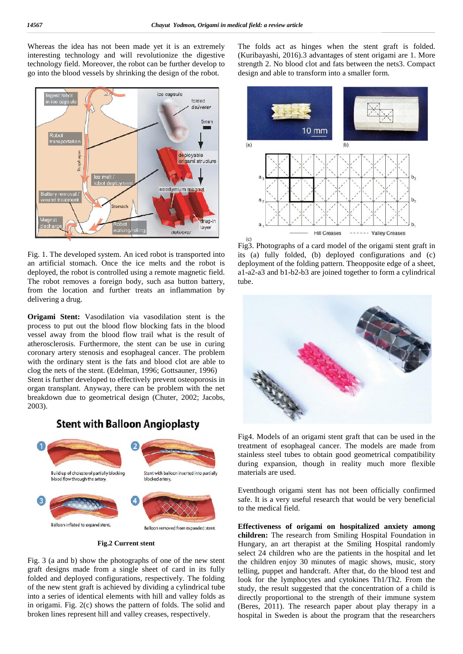Whereas the idea has not been made yet it is an extremely interesting technology and will revolutionize the digestive technology field. Moreover, the robot can be further develop to go into the blood vessels by shrinking the design of the robot.



Fig. 1. The developed system. An iced robot is transported into an artificial stomach. Once the ice melts and the robot is deployed, the robot is controlled using a remote magnetic field. The robot removes a foreign body, such asa button battery, from the location and further treats an inflammation by delivering a drug.

**Origami Stent:** Vasodilation via vasodilation stent is the process to put out the blood flow blocking fats in the blood vessel away from the blood flow trail what is the result of atherosclerosis. Furthermore, the stent can be use in curing coronary artery stenosis and esophageal cancer. The problem with the ordinary stent is the fats and blood clot are able to clog the nets of the stent. (Edelman, 1996; Gottsauner, 1996) Stent is further developed to effectively prevent osteoporosis in

organ transplant. Anyway, there can be problem with the net breakdown due to geometrical design (Chuter, 2002; Jacobs, 2003).

# **Stent with Balloon Angioplasty**



#### **Fig.2 Current stent**

Fig. 3 (a and b) show the photographs of one of the new stent graft designs made from a single sheet of card in its fully folded and deployed configurations, respectively. The folding of the new stent graft is achieved by dividing a cylindrical tube into a series of identical elements with hill and valley folds as in origami. Fig. 2(c) shows the pattern of folds. The solid and broken lines represent hill and valley creases, respectively.

The folds act as hinges when the stent graft is folded. (Kuribayashi, 2016).3 advantages of stent origami are 1. More strength 2. No blood clot and fats between the nets3. Compact design and able to transform into a smaller form.



Fig3. Photographs of a card model of the origami stent graft in its (a) fully folded, (b) deployed configurations and (c) deployment of the folding pattern. Theopposite edge of a sheet, a1-a2-a3 and b1-b2-b3 are joined together to form a cylindrical tube.



Fig4. Models of an origami stent graft that can be used in the treatment of esophageal cancer. The models are made from stainless steel tubes to obtain good geometrical compatibility during expansion, though in reality much more flexible materials are used.

Eventhough origami stent has not been officially confirmed safe. It is a very useful research that would be very beneficial to the medical field.

**Effectiveness of origami on hospitalized anxiety among children:** The research from Smiling Hospital Foundation in Hungary, an art therapist at the Smiling Hospital randomly select 24 children who are the patients in the hospital and let the children enjoy 30 minutes of magic shows, music, story telling, puppet and handcraft. After that, do the blood test and look for the lymphocytes and cytokines Th1/Th2. From the study, the result suggested that the concentration of a child is directly proportional to the strength of their immune system (Beres, 2011). The research paper about play therapy in a hospital in Sweden is about the program that the researchers